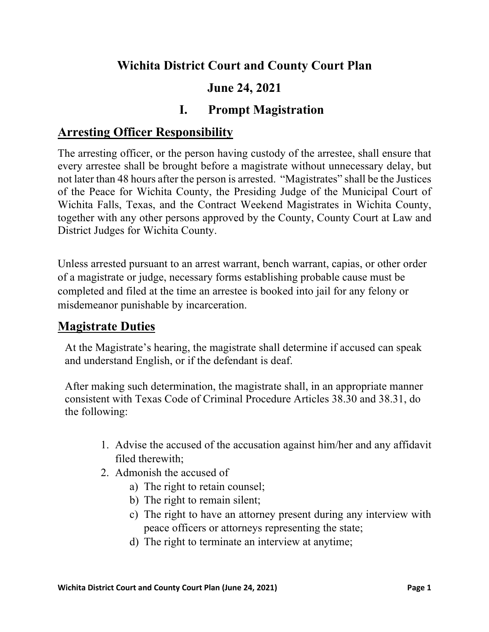# **Wichita District Court and County Court Plan**

#### **June 24, 2021**

## **I. Prompt Magistration**

#### **Arresting Officer Responsibility**

The arresting officer, or the person having custody of the arrestee, shall ensure that every arrestee shall be brought before a magistrate without unnecessary delay, but not later than 48 hours after the person is arrested. "Magistrates" shall be the Justices of the Peace for Wichita County, the Presiding Judge of the Municipal Court of Wichita Falls, Texas, and the Contract Weekend Magistrates in Wichita County, together with any other persons approved by the County, County Court at Law and District Judges for Wichita County.

Unless arrested pursuant to an arrest warrant, bench warrant, capias, or other order of a magistrate or judge, necessary forms establishing probable cause must be completed and filed at the time an arrestee is booked into jail for any felony or misdemeanor punishable by incarceration.

#### **Magistrate Duties**

At the Magistrate's hearing, the magistrate shall determine if accused can speak and understand English, or if the defendant is deaf.

After making such determination, the magistrate shall, in an appropriate manner consistent with Texas Code of Criminal Procedure Articles 38.30 and 38.31, do the following:

- 1. Advise the accused of the accusation against him/her and any affidavit filed therewith;
- 2. Admonish the accused of
	- a) The right to retain counsel;
	- b) The right to remain silent;
	- c) The right to have an attorney present during any interview with peace officers or attorneys representing the state;
	- d) The right to terminate an interview at anytime;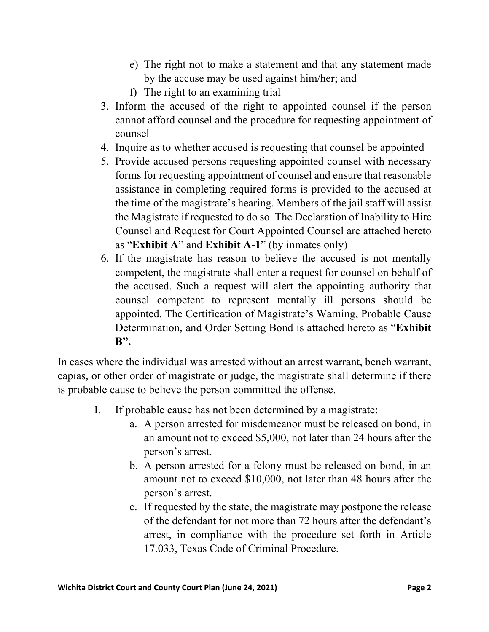- e) The right not to make a statement and that any statement made by the accuse may be used against him/her; and
- f) The right to an examining trial
- 3. Inform the accused of the right to appointed counsel if the person cannot afford counsel and the procedure for requesting appointment of counsel
- 4. Inquire as to whether accused is requesting that counsel be appointed
- 5. Provide accused persons requesting appointed counsel with necessary forms for requesting appointment of counsel and ensure that reasonable assistance in completing required forms is provided to the accused at the time of the magistrate's hearing. Members of the jail staff will assist the Magistrate if requested to do so. The Declaration of Inability to Hire Counsel and Request for Court Appointed Counsel are attached hereto as "**Exhibit A**" and **Exhibit A-1**" (by inmates only)
- 6. If the magistrate has reason to believe the accused is not mentally competent, the magistrate shall enter a request for counsel on behalf of the accused. Such a request will alert the appointing authority that counsel competent to represent mentally ill persons should be appointed. The Certification of Magistrate's Warning, Probable Cause Determination, and Order Setting Bond is attached hereto as "**Exhibit B".**

In cases where the individual was arrested without an arrest warrant, bench warrant, capias, or other order of magistrate or judge, the magistrate shall determine if there is probable cause to believe the person committed the offense.

- I. If probable cause has not been determined by a magistrate:
	- a. A person arrested for misdemeanor must be released on bond, in an amount not to exceed \$5,000, not later than 24 hours after the person's arrest.
	- b. A person arrested for a felony must be released on bond, in an amount not to exceed \$10,000, not later than 48 hours after the person's arrest.
	- c. If requested by the state, the magistrate may postpone the release of the defendant for not more than 72 hours after the defendant's arrest, in compliance with the procedure set forth in Article 17.033, Texas Code of Criminal Procedure.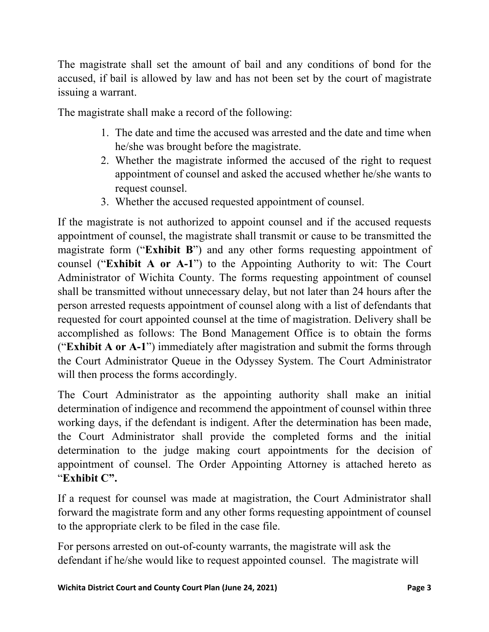The magistrate shall set the amount of bail and any conditions of bond for the accused, if bail is allowed by law and has not been set by the court of magistrate issuing a warrant.

The magistrate shall make a record of the following:

- 1. The date and time the accused was arrested and the date and time when he/she was brought before the magistrate.
- 2. Whether the magistrate informed the accused of the right to request appointment of counsel and asked the accused whether he/she wants to request counsel.
- 3. Whether the accused requested appointment of counsel.

If the magistrate is not authorized to appoint counsel and if the accused requests appointment of counsel, the magistrate shall transmit or cause to be transmitted the magistrate form ("**Exhibit B**") and any other forms requesting appointment of counsel ("**Exhibit A or A-1**") to the Appointing Authority to wit: The Court Administrator of Wichita County. The forms requesting appointment of counsel shall be transmitted without unnecessary delay, but not later than 24 hours after the person arrested requests appointment of counsel along with a list of defendants that requested for court appointed counsel at the time of magistration. Delivery shall be accomplished as follows: The Bond Management Office is to obtain the forms ("**Exhibit A or A-1**") immediately after magistration and submit the forms through the Court Administrator Queue in the Odyssey System. The Court Administrator will then process the forms accordingly.

The Court Administrator as the appointing authority shall make an initial determination of indigence and recommend the appointment of counsel within three working days, if the defendant is indigent. After the determination has been made, the Court Administrator shall provide the completed forms and the initial determination to the judge making court appointments for the decision of appointment of counsel. The Order Appointing Attorney is attached hereto as "**Exhibit C".**

If a request for counsel was made at magistration, the Court Administrator shall forward the magistrate form and any other forms requesting appointment of counsel to the appropriate clerk to be filed in the case file.

For persons arrested on out-of-county warrants, the magistrate will ask the defendant if he/she would like to request appointed counsel. The magistrate will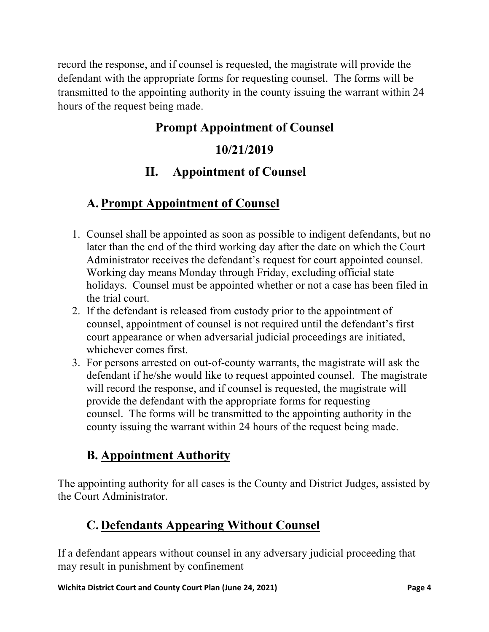record the response, and if counsel is requested, the magistrate will provide the defendant with the appropriate forms for requesting counsel. The forms will be transmitted to the appointing authority in the county issuing the warrant within 24 hours of the request being made.

# **Prompt Appointment of Counsel**

## **10/21/2019**

# **II. Appointment of Counsel**

# **A.Prompt Appointment of Counsel**

- 1. Counsel shall be appointed as soon as possible to indigent defendants, but no later than the end of the third working day after the date on which the Court Administrator receives the defendant's request for court appointed counsel. Working day means Monday through Friday, excluding official state holidays. Counsel must be appointed whether or not a case has been filed in the trial court.
- 2. If the defendant is released from custody prior to the appointment of counsel, appointment of counsel is not required until the defendant's first court appearance or when adversarial judicial proceedings are initiated, whichever comes first.
- 3. For persons arrested on out-of-county warrants, the magistrate will ask the defendant if he/she would like to request appointed counsel. The magistrate will record the response, and if counsel is requested, the magistrate will provide the defendant with the appropriate forms for requesting counsel. The forms will be transmitted to the appointing authority in the county issuing the warrant within 24 hours of the request being made.

# **B. Appointment Authority**

The appointing authority for all cases is the County and District Judges, assisted by the Court Administrator.

# **C. Defendants Appearing Without Counsel**

If a defendant appears without counsel in any adversary judicial proceeding that may result in punishment by confinement

**Wichita District Court and County Court Plan (June 24, 2021) Page 4**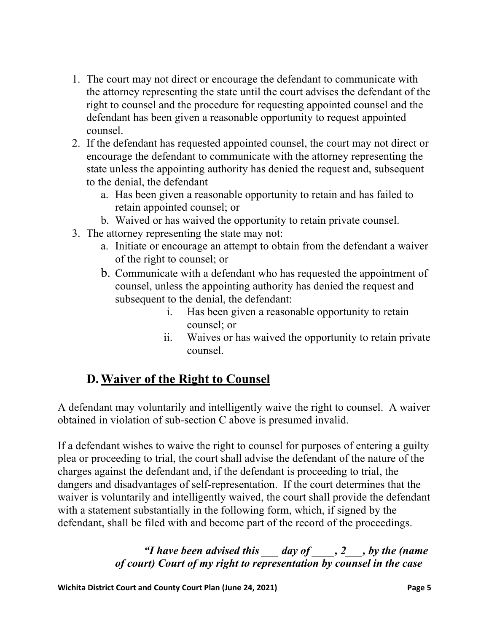- 1. The court may not direct or encourage the defendant to communicate with the attorney representing the state until the court advises the defendant of the right to counsel and the procedure for requesting appointed counsel and the defendant has been given a reasonable opportunity to request appointed counsel.
- 2. If the defendant has requested appointed counsel, the court may not direct or encourage the defendant to communicate with the attorney representing the state unless the appointing authority has denied the request and, subsequent to the denial, the defendant
	- a. Has been given a reasonable opportunity to retain and has failed to retain appointed counsel; or
	- b. Waived or has waived the opportunity to retain private counsel.
- 3. The attorney representing the state may not:
	- a. Initiate or encourage an attempt to obtain from the defendant a waiver of the right to counsel; or
	- b. Communicate with a defendant who has requested the appointment of counsel, unless the appointing authority has denied the request and subsequent to the denial, the defendant:
		- i. Has been given a reasonable opportunity to retain counsel; or
		- ii. Waives or has waived the opportunity to retain private counsel.

# **D.Waiver of the Right to Counsel**

A defendant may voluntarily and intelligently waive the right to counsel. A waiver obtained in violation of sub-section C above is presumed invalid.

If a defendant wishes to waive the right to counsel for purposes of entering a guilty plea or proceeding to trial, the court shall advise the defendant of the nature of the charges against the defendant and, if the defendant is proceeding to trial, the dangers and disadvantages of self-representation. If the court determines that the waiver is voluntarily and intelligently waived, the court shall provide the defendant with a statement substantially in the following form, which, if signed by the defendant, shall be filed with and become part of the record of the proceedings.

> *"I have been advised this \_\_\_ day of \_\_\_\_, 2\_\_\_, by the (name of court) Court of my right to representation by counsel in the case*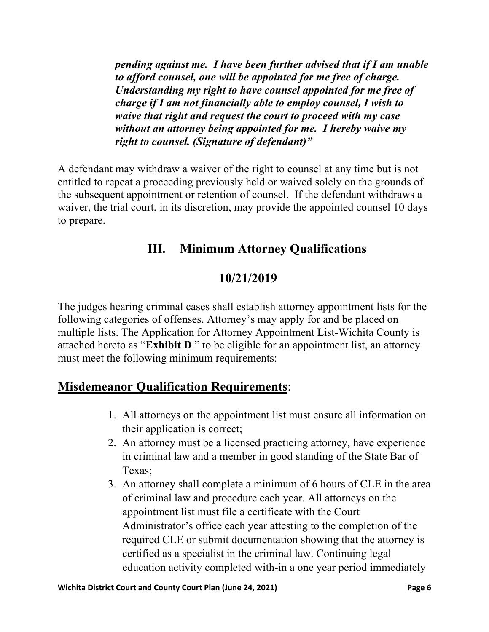*pending against me. I have been further advised that if I am unable to afford counsel, one will be appointed for me free of charge. Understanding my right to have counsel appointed for me free of charge if I am not financially able to employ counsel, I wish to waive that right and request the court to proceed with my case without an attorney being appointed for me. I hereby waive my right to counsel. (Signature of defendant)"*

A defendant may withdraw a waiver of the right to counsel at any time but is not entitled to repeat a proceeding previously held or waived solely on the grounds of the subsequent appointment or retention of counsel. If the defendant withdraws a waiver, the trial court, in its discretion, may provide the appointed counsel 10 days to prepare.

## **III. Minimum Attorney Qualifications**

#### **10/21/2019**

The judges hearing criminal cases shall establish attorney appointment lists for the following categories of offenses. Attorney's may apply for and be placed on multiple lists. The Application for Attorney Appointment List-Wichita County is attached hereto as "**Exhibit D**." to be eligible for an appointment list, an attorney must meet the following minimum requirements:

## **Misdemeanor Qualification Requirements**:

- 1. All attorneys on the appointment list must ensure all information on their application is correct;
- 2. An attorney must be a licensed practicing attorney, have experience in criminal law and a member in good standing of the State Bar of Texas;
- 3. An attorney shall complete a minimum of 6 hours of CLE in the area of criminal law and procedure each year. All attorneys on the appointment list must file a certificate with the Court Administrator's office each year attesting to the completion of the required CLE or submit documentation showing that the attorney is certified as a specialist in the criminal law. Continuing legal education activity completed with-in a one year period immediately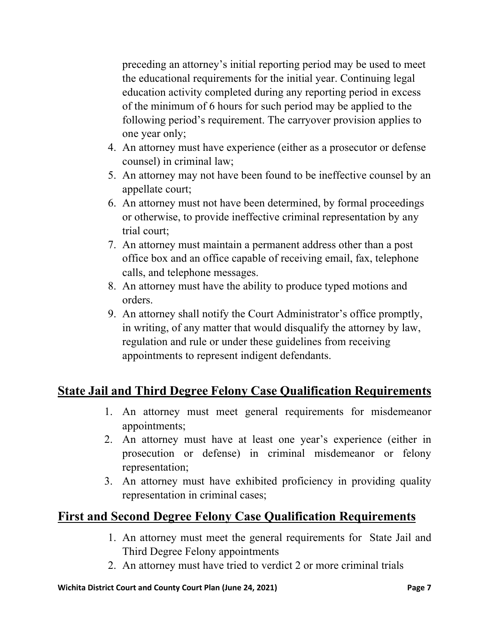preceding an attorney's initial reporting period may be used to meet the educational requirements for the initial year. Continuing legal education activity completed during any reporting period in excess of the minimum of 6 hours for such period may be applied to the following period's requirement. The carryover provision applies to one year only;

- 4. An attorney must have experience (either as a prosecutor or defense counsel) in criminal law;
- 5. An attorney may not have been found to be ineffective counsel by an appellate court;
- 6. An attorney must not have been determined, by formal proceedings or otherwise, to provide ineffective criminal representation by any trial court;
- 7. An attorney must maintain a permanent address other than a post office box and an office capable of receiving email, fax, telephone calls, and telephone messages.
- 8. An attorney must have the ability to produce typed motions and orders.
- 9. An attorney shall notify the Court Administrator's office promptly, in writing, of any matter that would disqualify the attorney by law, regulation and rule or under these guidelines from receiving appointments to represent indigent defendants.

# **State Jail and Third Degree Felony Case Qualification Requirements**

- 1. An attorney must meet general requirements for misdemeanor appointments;
- 2. An attorney must have at least one year's experience (either in prosecution or defense) in criminal misdemeanor or felony representation;
- 3. An attorney must have exhibited proficiency in providing quality representation in criminal cases;

## **First and Second Degree Felony Case Qualification Requirements**

- 1. An attorney must meet the general requirements for State Jail and Third Degree Felony appointments
- 2. An attorney must have tried to verdict 2 or more criminal trials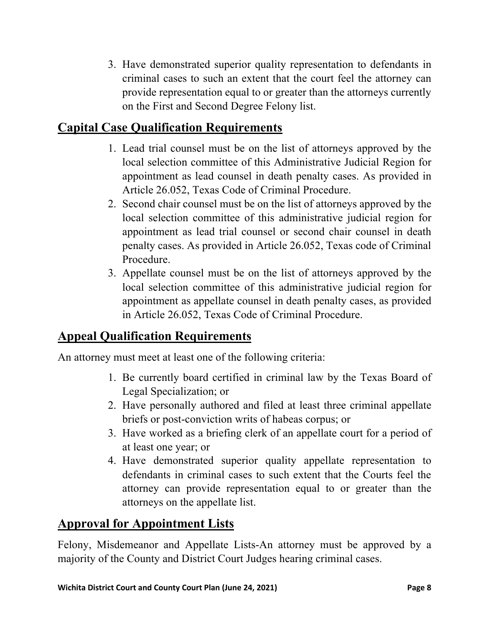3. Have demonstrated superior quality representation to defendants in criminal cases to such an extent that the court feel the attorney can provide representation equal to or greater than the attorneys currently on the First and Second Degree Felony list.

# **Capital Case Qualification Requirements**

- 1. Lead trial counsel must be on the list of attorneys approved by the local selection committee of this Administrative Judicial Region for appointment as lead counsel in death penalty cases. As provided in Article 26.052, Texas Code of Criminal Procedure.
- 2. Second chair counsel must be on the list of attorneys approved by the local selection committee of this administrative judicial region for appointment as lead trial counsel or second chair counsel in death penalty cases. As provided in Article 26.052, Texas code of Criminal Procedure.
- 3. Appellate counsel must be on the list of attorneys approved by the local selection committee of this administrative judicial region for appointment as appellate counsel in death penalty cases, as provided in Article 26.052, Texas Code of Criminal Procedure.

# **Appeal Qualification Requirements**

An attorney must meet at least one of the following criteria:

- 1. Be currently board certified in criminal law by the Texas Board of Legal Specialization; or
- 2. Have personally authored and filed at least three criminal appellate briefs or post-conviction writs of habeas corpus; or
- 3. Have worked as a briefing clerk of an appellate court for a period of at least one year; or
- 4. Have demonstrated superior quality appellate representation to defendants in criminal cases to such extent that the Courts feel the attorney can provide representation equal to or greater than the attorneys on the appellate list.

# **Approval for Appointment Lists**

Felony, Misdemeanor and Appellate Lists-An attorney must be approved by a majority of the County and District Court Judges hearing criminal cases.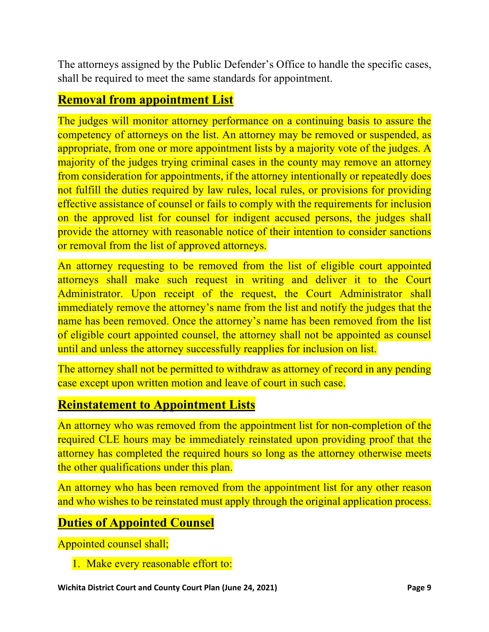The attorneys assigned by the Public Defender's Office to handle the specific cases, shall be required to meet the same standards for appointment.

#### **Removal from appointment List**

The judges will monitor attorney performance on a continuing basis to assure the competency of attorneys on the list. An attorney may be removed or suspended, as appropriate, from one or more appointment lists by a majority vote of the judges. A majority of the judges trying criminal cases in the county may remove an attorney from consideration for appointments, if the attorney intentionally or repeatedly does not fulfill the duties required by law rules, local rules, or provisions for providing effective assistance of counsel or fails to comply with the requirements for inclusion on the approved list for counsel for indigent accused persons, the judges shall provide the attorney with reasonable notice of their intention to consider sanctions or removal from the list of approved attorneys.

An attorney requesting to be removed from the list of eligible court appointed attorneys shall make such request in writing and deliver it to the Court Administrator. Upon receipt of the request, the Court Administrator shall immediately remove the attorney's name from the list and notify the judges that the name has been removed. Once the attorney's name has been removed from the list of eligible court appointed counsel, the attorney shall not be appointed as counsel until and unless the attorney successfully reapplies for inclusion on list.

The attorney shall not be permitted to withdraw as attorney of record in any pending case except upon written motion and leave of court in such case.

#### **Reinstatement to Appointment Lists**

An attorney who was removed from the appointment list for non-completion of the required CLE hours may be immediately reinstated upon providing proof that the attorney has completed the required hours so long as the attorney otherwise meets the other qualifications under this plan.

An attorney who has been removed from the appointment list for any other reason and who wishes to be reinstated must apply through the original application process.

## **Duties of Appointed Counsel**

Appointed counsel shall;

1. Make every reasonable effort to: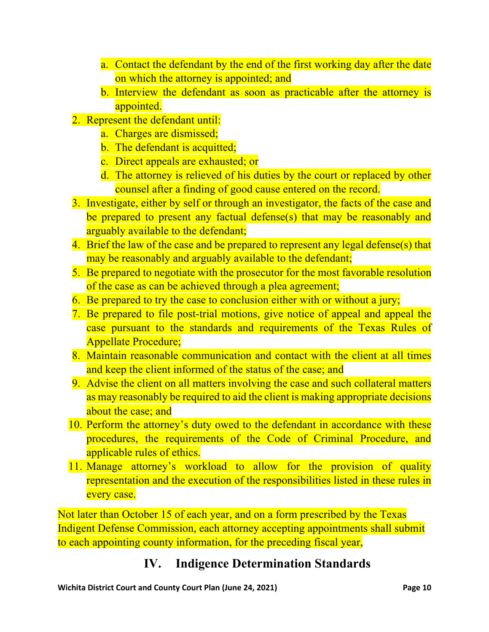- a. Contact the defendant by the end of the first working day after the date on which the attorney is appointed; and
- b. Interview the defendant as soon as practicable after the attorney is appointed.
- 2. Represent the defendant until:
	- a. Charges are dismissed;
	- b. The defendant is acquitted;
	- c. Direct appeals are exhausted; or
	- d. The attorney is relieved of his duties by the court or replaced by other counsel after a finding of good cause entered on the record.
- 3. Investigate, either by self or through an investigator, the facts of the case and be prepared to present any factual defense(s) that may be reasonably and arguably available to the defendant;
- 4. Brief the law of the case and be prepared to represent any legal defense(s) that may be reasonably and arguably available to the defendant;
- 5. Be prepared to negotiate with the prosecutor for the most favorable resolution of the case as can be achieved through a plea agreement;
- 6. Be prepared to try the case to conclusion either with or without a jury;
- 7. Be prepared to file post-trial motions, give notice of appeal and appeal the case pursuant to the standards and requirements of the Texas Rules of Appellate Procedure;
- 8. Maintain reasonable communication and contact with the client at all times and keep the client informed of the status of the case; and
- 9. Advise the client on all matters involving the case and such collateral matters as may reasonably be required to aid the client is making appropriate decisions about the case; and
- 10. Perform the attorney's duty owed to the defendant in accordance with these procedures, the requirements of the Code of Criminal Procedure, and applicable rules of ethics.
- 11. Manage attorney's workload to allow for the provision of quality representation and the execution of the responsibilities listed in these rules in every case.

Not later than October 15 of each year, and on a form prescribed by the Texas Indigent Defense Commission, each attorney accepting appointments shall submit to each appointing county information, for the preceding fiscal year,

## **IV. Indigence Determination Standards**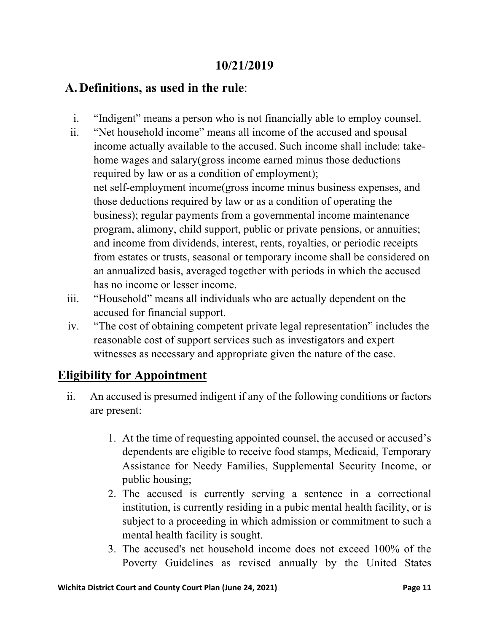#### **10/21/2019**

## **A. Definitions, as used in the rule**:

- i. "Indigent" means a person who is not financially able to employ counsel.
- ii. "Net household income" means all income of the accused and spousal income actually available to the accused. Such income shall include: takehome wages and salary(gross income earned minus those deductions required by law or as a condition of employment); net self-employment income(gross income minus business expenses, and those deductions required by law or as a condition of operating the business); regular payments from a governmental income maintenance program, alimony, child support, public or private pensions, or annuities; and income from dividends, interest, rents, royalties, or periodic receipts from estates or trusts, seasonal or temporary income shall be considered on an annualized basis, averaged together with periods in which the accused has no income or lesser income.
- iii. "Household" means all individuals who are actually dependent on the accused for financial support.
- iv. "The cost of obtaining competent private legal representation" includes the reasonable cost of support services such as investigators and expert witnesses as necessary and appropriate given the nature of the case.

#### **Eligibility for Appointment**

- ii. An accused is presumed indigent if any of the following conditions or factors are present:
	- 1. At the time of requesting appointed counsel, the accused or accused's dependents are eligible to receive food stamps, Medicaid, Temporary Assistance for Needy Families, Supplemental Security Income, or public housing;
	- 2. The accused is currently serving a sentence in a correctional institution, is currently residing in a pubic mental health facility, or is subject to a proceeding in which admission or commitment to such a mental health facility is sought.
	- 3. The accused's net household income does not exceed 100% of the Poverty Guidelines as revised annually by the United States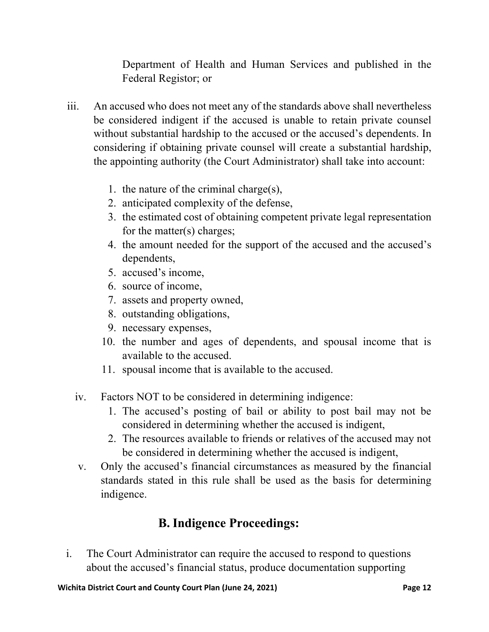Department of Health and Human Services and published in the Federal Registor; or

- iii. An accused who does not meet any of the standards above shall nevertheless be considered indigent if the accused is unable to retain private counsel without substantial hardship to the accused or the accused's dependents. In considering if obtaining private counsel will create a substantial hardship, the appointing authority (the Court Administrator) shall take into account:
	- 1. the nature of the criminal charge(s),
	- 2. anticipated complexity of the defense,
	- 3. the estimated cost of obtaining competent private legal representation for the matter(s) charges;
	- 4. the amount needed for the support of the accused and the accused's dependents,
	- 5. accused's income,
	- 6. source of income,
	- 7. assets and property owned,
	- 8. outstanding obligations,
	- 9. necessary expenses,
	- 10. the number and ages of dependents, and spousal income that is available to the accused.
	- 11. spousal income that is available to the accused.
	- iv. Factors NOT to be considered in determining indigence:
		- 1. The accused's posting of bail or ability to post bail may not be considered in determining whether the accused is indigent,
		- 2. The resources available to friends or relatives of the accused may not be considered in determining whether the accused is indigent,
	- v. Only the accused's financial circumstances as measured by the financial standards stated in this rule shall be used as the basis for determining indigence.

# **B. Indigence Proceedings:**

i. The Court Administrator can require the accused to respond to questions about the accused's financial status, produce documentation supporting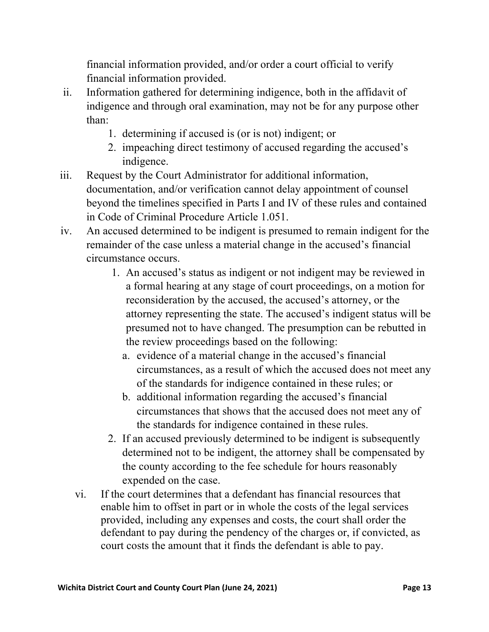financial information provided, and/or order a court official to verify financial information provided.

- ii. Information gathered for determining indigence, both in the affidavit of indigence and through oral examination, may not be for any purpose other than:
	- 1. determining if accused is (or is not) indigent; or
	- 2. impeaching direct testimony of accused regarding the accused's indigence.
- iii. Request by the Court Administrator for additional information, documentation, and/or verification cannot delay appointment of counsel beyond the timelines specified in Parts I and IV of these rules and contained in Code of Criminal Procedure Article 1.051.
- iv. An accused determined to be indigent is presumed to remain indigent for the remainder of the case unless a material change in the accused's financial circumstance occurs.
	- 1. An accused's status as indigent or not indigent may be reviewed in a formal hearing at any stage of court proceedings, on a motion for reconsideration by the accused, the accused's attorney, or the attorney representing the state. The accused's indigent status will be presumed not to have changed. The presumption can be rebutted in the review proceedings based on the following:
		- a. evidence of a material change in the accused's financial circumstances, as a result of which the accused does not meet any of the standards for indigence contained in these rules; or
		- b. additional information regarding the accused's financial circumstances that shows that the accused does not meet any of the standards for indigence contained in these rules.
	- 2. If an accused previously determined to be indigent is subsequently determined not to be indigent, the attorney shall be compensated by the county according to the fee schedule for hours reasonably expended on the case.
	- vi. If the court determines that a defendant has financial resources that enable him to offset in part or in whole the costs of the legal services provided, including any expenses and costs, the court shall order the defendant to pay during the pendency of the charges or, if convicted, as court costs the amount that it finds the defendant is able to pay.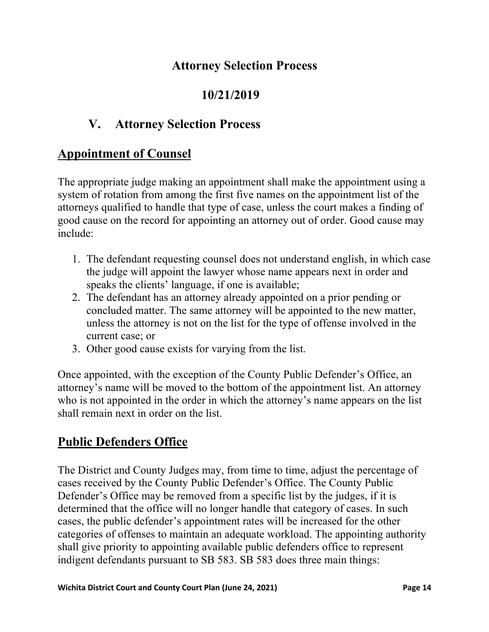#### **Attorney Selection Process**

## **10/21/2019**

# **V. Attorney Selection Process**

#### **Appointment of Counsel**

The appropriate judge making an appointment shall make the appointment using a system of rotation from among the first five names on the appointment list of the attorneys qualified to handle that type of case, unless the court makes a finding of good cause on the record for appointing an attorney out of order. Good cause may include:

- 1. The defendant requesting counsel does not understand english, in which case the judge will appoint the lawyer whose name appears next in order and speaks the clients' language, if one is available;
- 2. The defendant has an attorney already appointed on a prior pending or concluded matter. The same attorney will be appointed to the new matter, unless the attorney is not on the list for the type of offense involved in the current case; or
- 3. Other good cause exists for varying from the list.

Once appointed, with the exception of the County Public Defender's Office, an attorney's name will be moved to the bottom of the appointment list. An attorney who is not appointed in the order in which the attorney's name appears on the list shall remain next in order on the list.

## **Public Defenders Office**

The District and County Judges may, from time to time, adjust the percentage of cases received by the County Public Defender's Office. The County Public Defender's Office may be removed from a specific list by the judges, if it is determined that the office will no longer handle that category of cases. In such cases, the public defender's appointment rates will be increased for the other categories of offenses to maintain an adequate workload. The appointing authority shall give priority to appointing available public defenders office to represent indigent defendants pursuant to SB 583. SB 583 does three main things: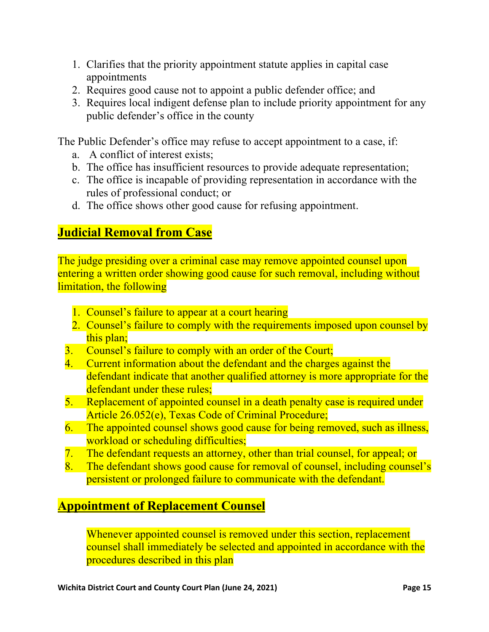- 1. Clarifies that the priority appointment statute applies in capital case appointments
- 2. Requires good cause not to appoint a public defender office; and
- 3. Requires local indigent defense plan to include priority appointment for any public defender's office in the county

The Public Defender's office may refuse to accept appointment to a case, if:

- a. A conflict of interest exists;
- b. The office has insufficient resources to provide adequate representation;
- c. The office is incapable of providing representation in accordance with the rules of professional conduct; or
- d. The office shows other good cause for refusing appointment.

# **Judicial Removal from Case**

The judge presiding over a criminal case may remove appointed counsel upon entering a written order showing good cause for such removal, including without limitation, the following

- 1. Counsel's failure to appear at a court hearing
- 2. Counsel's failure to comply with the requirements imposed upon counsel by this plan;
- 3. Counsel's failure to comply with an order of the Court;
- 4. Current information about the defendant and the charges against the defendant indicate that another qualified attorney is more appropriate for the defendant under these rules;
- 5. Replacement of appointed counsel in a death penalty case is required under Article 26.052(e), Texas Code of Criminal Procedure;
- 6. The appointed counsel shows good cause for being removed, such as illness, workload or scheduling difficulties;
- 7. The defendant requests an attorney, other than trial counsel, for appeal; or
- 8. The defendant shows good cause for removal of counsel, including counsel's persistent or prolonged failure to communicate with the defendant.

#### **Appointment of Replacement Counsel**

Whenever appointed counsel is removed under this section, replacement counsel shall immediately be selected and appointed in accordance with the procedures described in this plan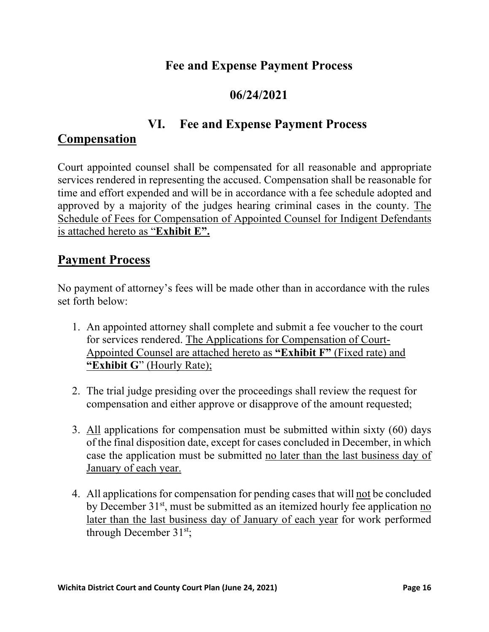#### **Fee and Expense Payment Process**

#### **06/24/2021**

# **VI. Fee and Expense Payment Process**

#### **Compensation**

Court appointed counsel shall be compensated for all reasonable and appropriate services rendered in representing the accused. Compensation shall be reasonable for time and effort expended and will be in accordance with a fee schedule adopted and approved by a majority of the judges hearing criminal cases in the county. The Schedule of Fees for Compensation of Appointed Counsel for Indigent Defendants is attached hereto as "**Exhibit E".**

#### **Payment Process**

No payment of attorney's fees will be made other than in accordance with the rules set forth below:

- 1. An appointed attorney shall complete and submit a fee voucher to the court for services rendered. The Applications for Compensation of Court-Appointed Counsel are attached hereto as **"Exhibit F"** (Fixed rate) and **"Exhibit G**" (Hourly Rate);
- 2. The trial judge presiding over the proceedings shall review the request for compensation and either approve or disapprove of the amount requested;
- 3. All applications for compensation must be submitted within sixty (60) days of the final disposition date, except for cases concluded in December, in which case the application must be submitted no later than the last business day of January of each year.
- 4. All applications for compensation for pending cases that will not be concluded by December 31<sup>st</sup>, must be submitted as an itemized hourly fee application no later than the last business day of January of each year for work performed through December  $31^{st}$ ;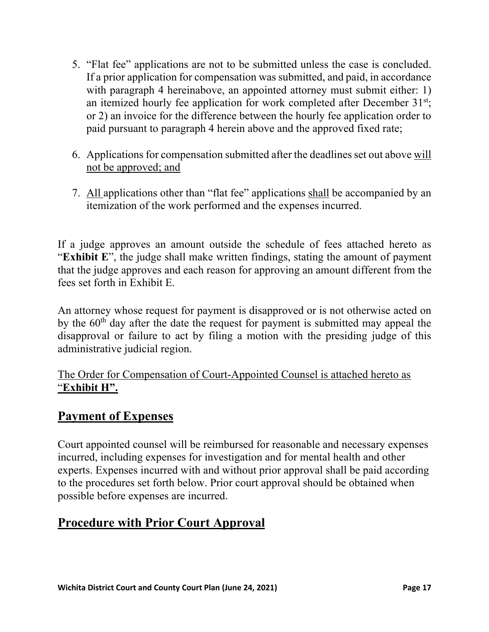- 5. "Flat fee" applications are not to be submitted unless the case is concluded. If a prior application for compensation was submitted, and paid, in accordance with paragraph 4 hereinabove, an appointed attorney must submit either: 1) an itemized hourly fee application for work completed after December  $31<sup>st</sup>$ ; or 2) an invoice for the difference between the hourly fee application order to paid pursuant to paragraph 4 herein above and the approved fixed rate;
- 6. Applications for compensation submitted after the deadlines set out above will not be approved; and
- 7. All applications other than "flat fee" applications shall be accompanied by an itemization of the work performed and the expenses incurred.

If a judge approves an amount outside the schedule of fees attached hereto as "**Exhibit E**", the judge shall make written findings, stating the amount of payment that the judge approves and each reason for approving an amount different from the fees set forth in Exhibit E.

An attorney whose request for payment is disapproved or is not otherwise acted on by the  $60<sup>th</sup>$  day after the date the request for payment is submitted may appeal the disapproval or failure to act by filing a motion with the presiding judge of this administrative judicial region.

#### The Order for Compensation of Court-Appointed Counsel is attached hereto as "**Exhibit H".**

## **Payment of Expenses**

Court appointed counsel will be reimbursed for reasonable and necessary expenses incurred, including expenses for investigation and for mental health and other experts. Expenses incurred with and without prior approval shall be paid according to the procedures set forth below. Prior court approval should be obtained when possible before expenses are incurred.

## **Procedure with Prior Court Approval**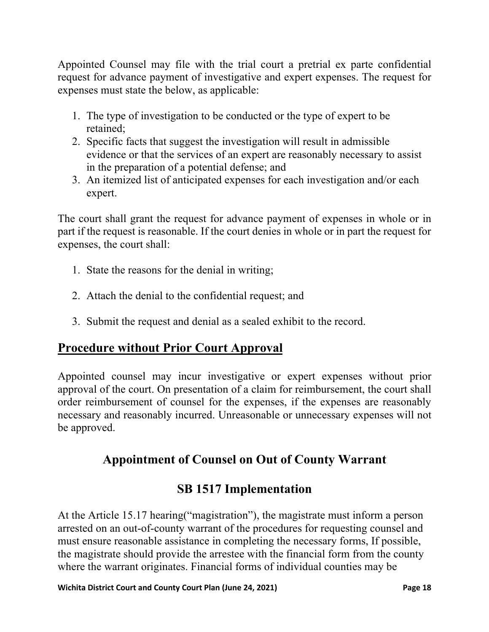Appointed Counsel may file with the trial court a pretrial ex parte confidential request for advance payment of investigative and expert expenses. The request for expenses must state the below, as applicable:

- 1. The type of investigation to be conducted or the type of expert to be retained;
- 2. Specific facts that suggest the investigation will result in admissible evidence or that the services of an expert are reasonably necessary to assist in the preparation of a potential defense; and
- 3. An itemized list of anticipated expenses for each investigation and/or each expert.

The court shall grant the request for advance payment of expenses in whole or in part if the request is reasonable. If the court denies in whole or in part the request for expenses, the court shall:

- 1. State the reasons for the denial in writing;
- 2. Attach the denial to the confidential request; and
- 3. Submit the request and denial as a sealed exhibit to the record.

# **Procedure without Prior Court Approval**

Appointed counsel may incur investigative or expert expenses without prior approval of the court. On presentation of a claim for reimbursement, the court shall order reimbursement of counsel for the expenses, if the expenses are reasonably necessary and reasonably incurred. Unreasonable or unnecessary expenses will not be approved.

# **Appointment of Counsel on Out of County Warrant**

# **SB 1517 Implementation**

At the Article 15.17 hearing("magistration"), the magistrate must inform a person arrested on an out-of-county warrant of the procedures for requesting counsel and must ensure reasonable assistance in completing the necessary forms, If possible, the magistrate should provide the arrestee with the financial form from the county where the warrant originates. Financial forms of individual counties may be

**Wichita District Court and County Court Plan (June 24, 2021) Page 18**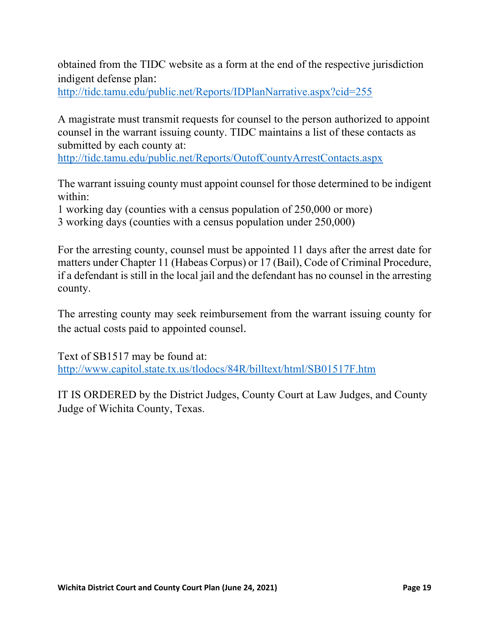obtained from the TIDC website as a form at the end of the respective jurisdiction indigent defense plan:

http://tidc.tamu.edu/public.net/Reports/IDPlanNarrative.aspx?cid=255

A magistrate must transmit requests for counsel to the person authorized to appoint counsel in the warrant issuing county. TIDC maintains a list of these contacts as submitted by each county at:

http://tidc.tamu.edu/public.net/Reports/OutofCountyArrestContacts.aspx

The warrant issuing county must appoint counsel for those determined to be indigent within:

1 working day (counties with a census population of 250,000 or more)

3 working days (counties with a census population under 250,000)

For the arresting county, counsel must be appointed 11 days after the arrest date for matters under Chapter 11 (Habeas Corpus) or 17 (Bail), Code of Criminal Procedure, if a defendant is still in the local jail and the defendant has no counsel in the arresting county.

The arresting county may seek reimbursement from the warrant issuing county for the actual costs paid to appointed counsel.

Text of SB1517 may be found at: http://www.capitol.state.tx.us/tlodocs/84R/billtext/html/SB01517F.htm

IT IS ORDERED by the District Judges, County Court at Law Judges, and County Judge of Wichita County, Texas.